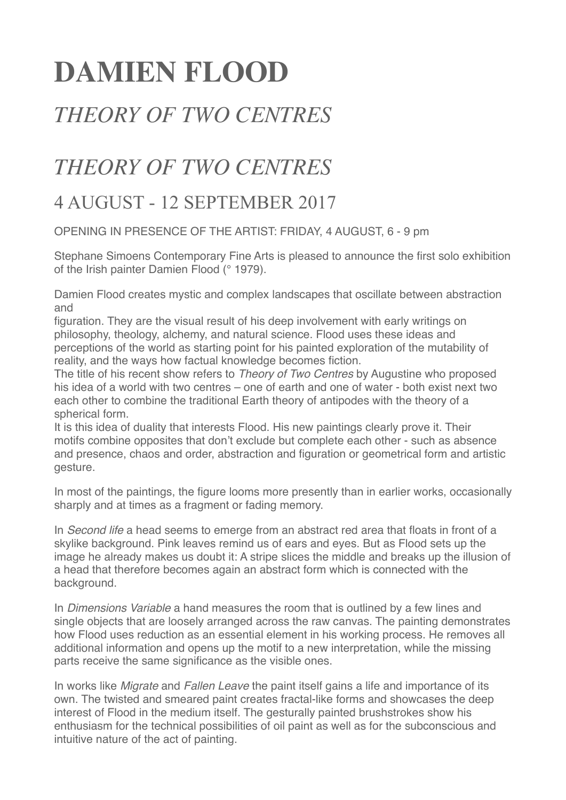## **DAMIEN FLOOD**

## *THEORY OF TWO CENTRES*

## *THEORY OF TWO CENTRES*

## 4 AUGUST - 12 SEPTEMBER 2017

OPENING IN PRESENCE OF THE ARTIST: FRIDAY, 4 AUGUST, 6 - 9 pm

Stephane Simoens Contemporary Fine Arts is pleased to announce the first solo exhibition of the Irish painter Damien Flood (° 1979).

Damien Flood creates mystic and complex landscapes that oscillate between abstraction and

figuration. They are the visual result of his deep involvement with early writings on philosophy, theology, alchemy, and natural science. Flood uses these ideas and perceptions of the world as starting point for his painted exploration of the mutability of reality, and the ways how factual knowledge becomes fiction.

The title of his recent show refers to *Theory of Two Centres* by Augustine who proposed his idea of a world with two centres – one of earth and one of water - both exist next two each other to combine the traditional Earth theory of antipodes with the theory of a spherical form.

It is this idea of duality that interests Flood. His new paintings clearly prove it. Their motifs combine opposites that don't exclude but complete each other - such as absence and presence, chaos and order, abstraction and figuration or geometrical form and artistic gesture.

In most of the paintings, the figure looms more presently than in earlier works, occasionally sharply and at times as a fragment or fading memory.

In *Second life* a head seems to emerge from an abstract red area that floats in front of a skylike background. Pink leaves remind us of ears and eyes. But as Flood sets up the image he already makes us doubt it: A stripe slices the middle and breaks up the illusion of a head that therefore becomes again an abstract form which is connected with the background.

In *Dimensions Variable* a hand measures the room that is outlined by a few lines and single objects that are loosely arranged across the raw canvas. The painting demonstrates how Flood uses reduction as an essential element in his working process. He removes all additional information and opens up the motif to a new interpretation, while the missing parts receive the same significance as the visible ones.

In works like *Migrate* and *Fallen Leave* the paint itself gains a life and importance of its own. The twisted and smeared paint creates fractal-like forms and showcases the deep interest of Flood in the medium itself. The gesturally painted brushstrokes show his enthusiasm for the technical possibilities of oil paint as well as for the subconscious and intuitive nature of the act of painting.